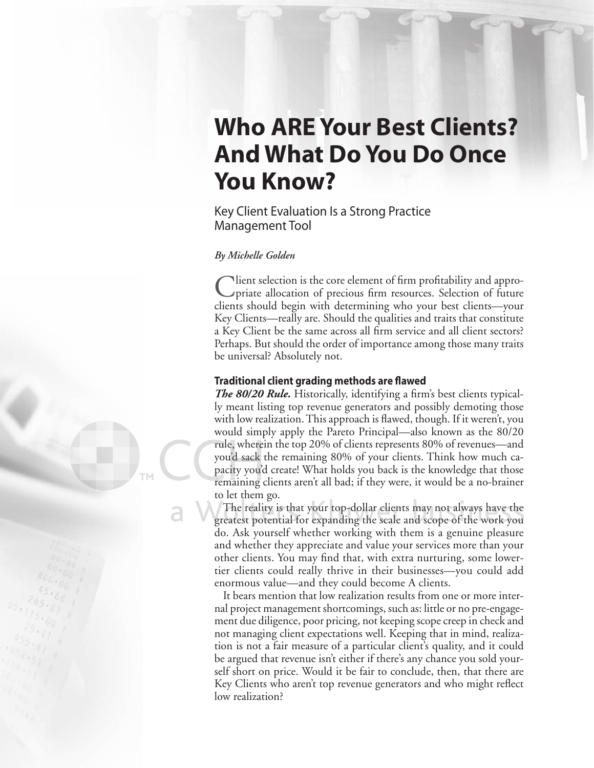# **Who ARE Your Best Clients? And What Do You Do Once You Know?**

Key Client Evaluation Is a Strong Practice Management Tool

## *By Michelle Golden*

Nient selection is the core element of firm profitability and appropriate allocation of precious firm resources. Selection of future clients should begin with determining who your best clients—your Key Clients—really are. Should the qualities and traits that constitute a Key Client be the same across all firm service and all client sectors? Perhaps. But should the order of importance among those many traits be universal? Absolutely not.

### **Traditional client grading methods are flawed**

**The 80/20 Rule.** Historically, identifying a firm's best clients typically meant listing top revenue generators and possibly demoting those with low realization. This approach is flawed, though. If it weren't, you would simply apply the Pareto Principal—also known as the 80/20 rule, wherein the top 20% of clients represents 80% of revenues—and you'd sack the remaining 80% of your clients. Think how much ca-u'd pacity you'd create! What holds you back is the knowledge that those remaining clients aren't all bad; if they were, it would be a no-brainer to let them go.

The reality is that your top-dollar clients may not always have the greatest potential for expanding the scale and scope of the work you do. Ask yourself whether working with them is a genuine pleasure and whether they appreciate and value your services more than your other clients. You may find that, with extra nurturing, some lowertier clients could really thrive in their businesses—you could add enormous value—and they could become A clients.

It bears mention that low realization results from one or more internal project management shortcomings, such as: little or no pre-engagement due diligence, poor pricing, not keeping scope creep in check and not managing client expectations well. Keeping that in mind, realization is not a fair measure of a particular client's quality, and it could be argued that revenue isn't either if there's any chance you sold yourself short on price. Would it be fair to conclude, then, that there are Key Clients who aren't top revenue generators and who might reflect low realization?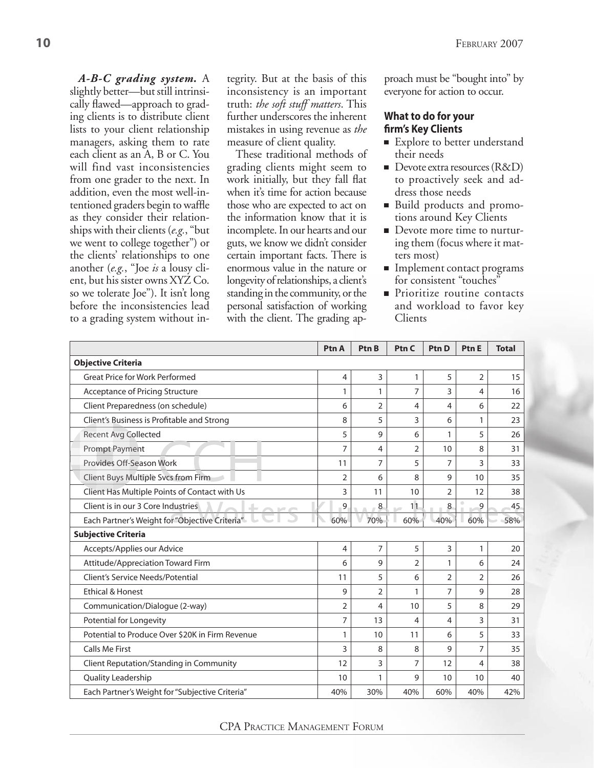*A-B-C grading system.* A slightly better—but still intrinsically flawed—approach to grading clients is to distribute client lists to your client relationship managers, asking them to rate each client as an A, B or C. You will find vast inconsistencies from one grader to the next. In addition, even the most well-intentioned graders begin to waffle as they consider their relationships with their clients (*e.g.*, "but we went to college together") or the clients' relationships to one another (*e.g.*, "Joe *is* a lousy client, but his sister owns XYZ Co. so we tolerate Joe"). It isn't long before the inconsistencies lead to a grading system without integrity. But at the basis of this inconsistency is an important truth: *the soft stuff matters*. This further underscores the inherent mistakes in using revenue as *the*  measure of client quality.

These traditional methods of grading clients might seem to work initially, but they fall flat when it's time for action because those who are expected to act on the information know that it is incomplete. In our hearts and our guts, we know we didn't consider certain important facts. There is enormous value in the nature or longevity of relationships, a client's standing in the community, or the personal satisfaction of working with the client. The grading approach must be "bought into" by everyone for action to occur.

## **What to do for your fi rm's Key Clients**

- Explore to better understand their needs
- $\blacksquare$  Devote extra resources (R&D) to proactively seek and address those needs
- Build products and promotions around Key Clients
- Devote more time to nurturing them (focus where it matters most)
- Implement contact programs for consistent "touches"
- **Prioritize routine contacts** and workload to favor key **Clients**

|                                                               | Ptn A          | Ptn B          | P <sub>tn</sub> C | Ptn D          | Ptn E          | <b>Total</b> |
|---------------------------------------------------------------|----------------|----------------|-------------------|----------------|----------------|--------------|
| <b>Objective Criteria</b>                                     |                |                |                   |                |                |              |
| <b>Great Price for Work Performed</b>                         | 4              | 3              | 1                 | 5              | $\overline{2}$ | 15           |
| <b>Acceptance of Pricing Structure</b>                        | 1              | 1              | 7                 | 3              | 4              | 16           |
| Client Preparedness (on schedule)                             | 6              | $\overline{2}$ | 4                 | 4              | 6              | 22           |
| Client's Business is Profitable and Strong                    | 8              | 5              | 3                 | 6              | 1              | 23           |
| <b>Recent Avg Collected</b>                                   | 5              | 9              | 6                 | 1              | 5              | 26           |
| <b>Prompt Payment</b>                                         | $\overline{7}$ | 4              | $\overline{2}$    | 10             | 8              | 31           |
| Provides Off-Season Work                                      | 11             | $\overline{7}$ | 5                 | 7              | 3              | 33           |
| Client Buys Multiple Svcs from Firm                           | $\overline{2}$ | 6              | 8                 | 9              | 10             | 35           |
| Client Has Multiple Points of Contact with Us                 | 3              | 11             | 10                | $\overline{2}$ | 12             | 38           |
| Client is in our 3 Core Industries<br>$\pm$<br>$\mathbb{R}^n$ | 9              | 8              | 11<br>$\sim$      | 8              | 9              | 45           |
| Each Partner's Weight for "Objective Criteria"                | 60%            | 70%            | 60%               | 40%            | 60%            | 58%          |
| <b>Subjective Criteria</b>                                    |                |                |                   |                |                |              |
| Accepts/Applies our Advice                                    | 4              | $\overline{7}$ | 5                 | 3              | 1              | 20           |
| Attitude/Appreciation Toward Firm                             | 6              | 9              | 2                 | 1              | 6              | 24           |
| Client's Service Needs/Potential                              | 11             | 5              | 6                 | 2              | 2              | 26           |
| <b>Ethical &amp; Honest</b>                                   | 9              | 2              |                   | 7              | 9              | 28           |
| Communication/Dialogue (2-way)                                | $\overline{2}$ | 4              | 10                | 5              | 8              | 29           |
| Potential for Longevity                                       | 7              | 13             | 4                 | 4              | 3              | 31           |
| Potential to Produce Over \$20K in Firm Revenue               | 1              | 10             | 11                | 6              | 5              | 33           |
| <b>Calls Me First</b>                                         | 3              | 8              | 8                 | 9              | 7              | 35           |
| Client Reputation/Standing in Community                       | 12             | 3              | 7                 | 12             | 4              | 38           |
| Quality Leadership                                            | 10             | 1              | 9                 | 10             | 10             | 40           |
| Each Partner's Weight for "Subjective Criteria"               | 40%            | 30%            | 40%               | 60%            | 40%            | 42%          |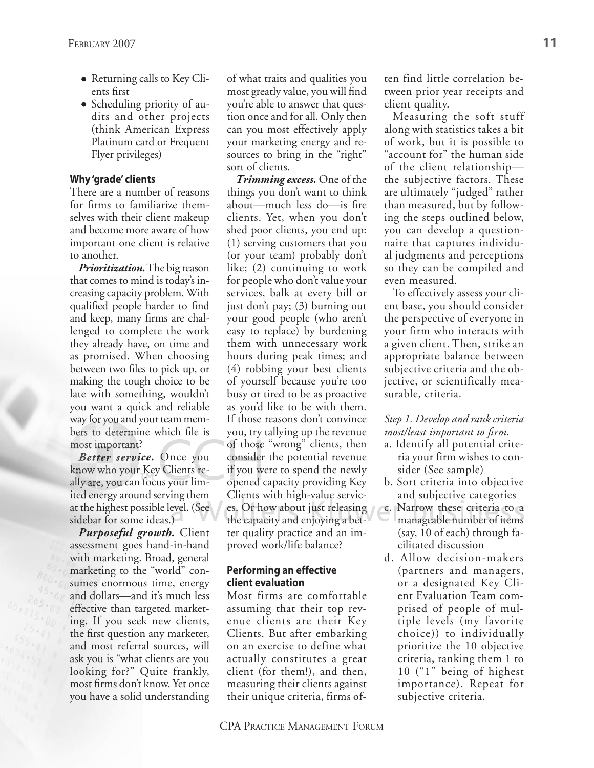- Returning calls to Key Clients fi rst
- Scheduling priority of audits and other projects (think American Express Platinum card or Frequent Flyer privileges)

# **Why 'grade' clients**

There are a number of reasons for firms to familiarize themselves with their client makeup and become more aware of how important one client is relative to another.

*Prioritization.* The big reason that comes to mind is today's increasing capacity problem. With qualified people harder to find and keep, many firms are challenged to complete the work they already have, on time and as promised. When choosing between two files to pick up, or making the tough choice to be late with something, wouldn't you want a quick and reliable way for you and your team members to determine which file is most important?

Better service. Once you know who your Key Clients really are, you can focus your lim-f ited energy around serving them at the highest possible level. (See es.<br>sidebar for some ideas.) sidebar for some ideas.)

*Purposeful growth.* Client assessment goes hand-in-hand with marketing. Broad, general marketing to the "world" consumes enormous time, energy and dollars—and it's much less effective than targeted marketing. If you seek new clients, the first question any marketer, and most referral sources, will ask you is "what clients are you looking for?" Quite frankly, most firms don't know. Yet once you have a solid understanding

of what traits and qualities you most greatly value, you will find you're able to answer that question once and for all. Only then can you most effectively apply your marketing energy and resources to bring in the "right" sort of clients.

*Trimming excess.* One of the things you don't want to think about—much less do—is fire clients. Yet, when you don't shed poor clients, you end up: (1) serving customers that you (or your team) probably don't like; (2) continuing to work for people who don't value your services, balk at every bill or just don't pay; (3) burning out your good people (who aren't easy to replace) by burdening them with unnecessary work hours during peak times; and (4) robbing your best clients of yourself because you're too busy or tired to be as proactive as you'd like to be with them. If those reasons don't convince you, try tallying up the revenue of those "wrong" clients, then<br>
rou consider the potential revenue<br>
re- if you were to spend the newly consider the potential revenue conside if you were to spend the newly opened capacity providing Key d Clients with high-value services. Or how about just releasing<br>the capacity and enjoying a betthe capacity and enjoying a better quality practice and an improved work/life balance?

# **Performing an effective client evaluation**

Most firms are comfortable assuming that their top revenue clients are their Key Clients. But after embarking on an exercise to define what actually constitutes a great client (for them!), and then, measuring their clients against their unique criteria, firms often find little correlation between prior year receipts and client quality.

Measuring the soft stuff along with statistics takes a bit of work, but it is possible to "account for" the human side of the client relationship the subjective factors. These are ultimately "judged" rather than measured, but by following the steps outlined below, you can develop a questionnaire that captures individual judgments and perceptions so they can be compiled and even measured.

To effectively assess your client base, you should consider the perspective of everyone in your firm who interacts with a given client. Then, strike an appropriate balance between subjective criteria and the objective, or scientifically measurable, criteria.

# *Step 1. Develop and rank criteria most/least important to firm.*

- a. Identify all potential criteria your firm wishes to consider (See sample)
- b. Sort criteria into objective and subjective categories
- c. Narrow these criteria to a manageable number of items (say, 10 of each) through facilitated discussion
- d. Allow decision-makers (partners and managers, or a designated Key Client Evaluation Team comprised of people of multiple levels (my favorite choice)) to individually prioritize the 10 objective criteria, ranking them 1 to 10 ("1" being of highest importance). Repeat for subjective criteria.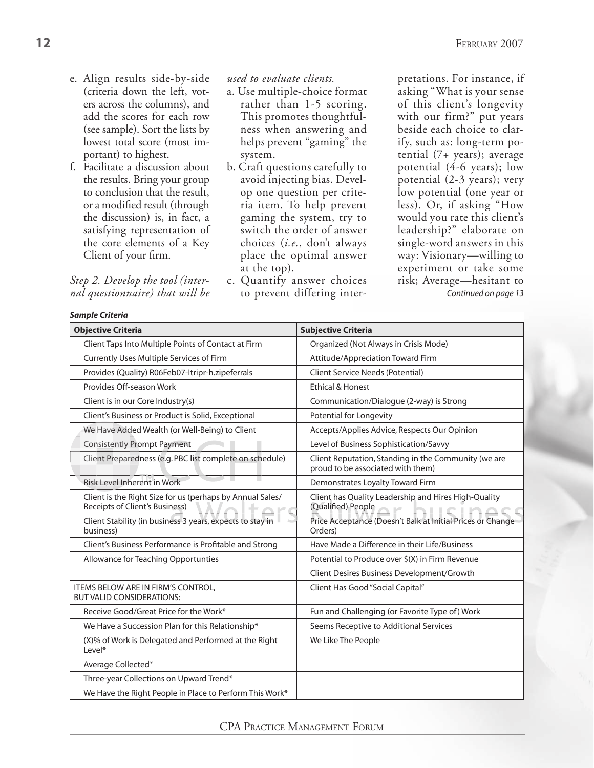- e. Align results side-by-side (criteria down the left, voters across the columns), and add the scores for each row (see sample). Sort the lists by lowest total score (most important) to highest.
- f. Facilitate a discussion about the results. Bring your group to conclusion that the result, or a modified result (through the discussion) is, in fact, a satisfying representation of the core elements of a Key Client of your firm.

## *Step 2. Develop the tool (internal questionnaire) that will be*

### *Sample Criteria*

*used to evaluate clients.*

- a. Use multiple-choice format rather than 1-5 scoring. This promotes thoughtfulness when answering and helps prevent "gaming" the system.
- b. Craft questions carefully to avoid injecting bias. Develop one question per criteria item. To help prevent gaming the system, try to switch the order of answer choices (*i.e.*, don't always place the optimal answer at the top).
- c. Quantify answer choices to prevent differing inter-

pretations. For instance, if asking "What is your sense of this client's longevity with our firm?" put years beside each choice to clarify, such as: long-term potential (7+ years); average potential (4-6 years); low potential (2-3 years); very low potential (one year or less). Or, if asking "How would you rate this client's leadership?" elaborate on single-word answers in this way: Visionary—willing to experiment or take some risk; Average—hesitant to *Continued on page 13*

| JUILPIC CIRCITU                                                                                              |                                                                                           |  |  |  |
|--------------------------------------------------------------------------------------------------------------|-------------------------------------------------------------------------------------------|--|--|--|
| <b>Objective Criteria</b>                                                                                    | <b>Subjective Criteria</b>                                                                |  |  |  |
| Client Taps Into Multiple Points of Contact at Firm                                                          | Organized (Not Always in Crisis Mode)                                                     |  |  |  |
| Currently Uses Multiple Services of Firm                                                                     | Attitude/Appreciation Toward Firm                                                         |  |  |  |
| Provides (Quality) R06Feb07-Itripr-h.zipeferrals                                                             | Client Service Needs (Potential)                                                          |  |  |  |
| Provides Off-season Work                                                                                     | <b>Ethical &amp; Honest</b>                                                               |  |  |  |
| Client is in our Core Industry(s)                                                                            | Communication/Dialogue (2-way) is Strong                                                  |  |  |  |
| Client's Business or Product is Solid, Exceptional                                                           | Potential for Longevity                                                                   |  |  |  |
| We Have Added Wealth (or Well-Being) to Client                                                               | Accepts/Applies Advice, Respects Our Opinion                                              |  |  |  |
| <b>Consistently Prompt Payment</b>                                                                           | Level of Business Sophistication/Savvy                                                    |  |  |  |
| Client Preparedness (e.g. PBC list complete on schedule)                                                     | Client Reputation, Standing in the Community (we are<br>proud to be associated with them) |  |  |  |
| <b>Risk Level Inherent in Work</b>                                                                           | Demonstrates Loyalty Toward Firm                                                          |  |  |  |
| Client is the Right Size for us (perhaps by Annual Sales/<br>Receipts of Client's Business)<br>$\sim$ $\leq$ | Client has Quality Leadership and Hires High-Quality<br>Qualified) People                 |  |  |  |
| Client Stability (in business 3 years, expects to stay in<br>business)                                       | Price Acceptance (Doesn't Balk at Initial Prices or Change<br>Orders)                     |  |  |  |
| Client's Business Performance is Profitable and Strong                                                       | Have Made a Difference in their Life/Business                                             |  |  |  |
| Allowance for Teaching Opportunties                                                                          | Potential to Produce over \$(X) in Firm Revenue                                           |  |  |  |
|                                                                                                              | Client Desires Business Development/Growth                                                |  |  |  |
| ITEMS BELOW ARE IN FIRM'S CONTROL,<br><b>BUT VALID CONSIDERATIONS:</b>                                       | Client Has Good "Social Capital"                                                          |  |  |  |
| Receive Good/Great Price for the Work*                                                                       | Fun and Challenging (or Favorite Type of) Work                                            |  |  |  |
| We Have a Succession Plan for this Relationship*                                                             | Seems Receptive to Additional Services                                                    |  |  |  |
| (X)% of Work is Delegated and Performed at the Right<br>$level^*$                                            | We Like The People                                                                        |  |  |  |
| Average Collected*                                                                                           |                                                                                           |  |  |  |
| Three-year Collections on Upward Trend*                                                                      |                                                                                           |  |  |  |
| We Have the Right People in Place to Perform This Work*                                                      |                                                                                           |  |  |  |